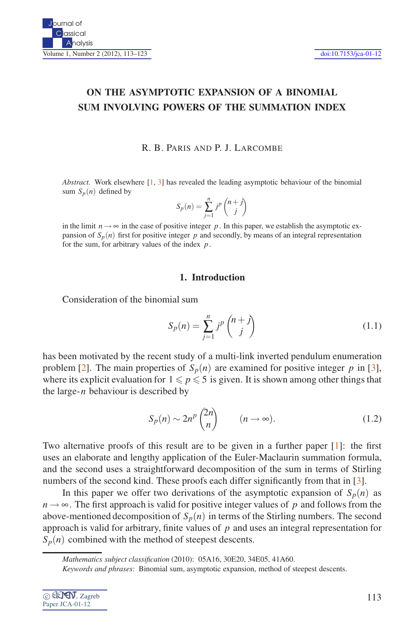# **ON THE ASYMPTOTIC EXPANSION OF A BINOMIAL SUM INVOLVING POWERS OF THE SUMMATION INDEX**

## R. B. PARIS AND P. J. LARCOMBE

*Abstract.* Work elsewhere  $\begin{bmatrix} 1, 3 \end{bmatrix}$  has revealed the leading asymptotic behaviour of the binomial sum  $S_p(n)$  defined by

$$
S_p(n) = \sum_{j=1}^n j^p \binom{n+j}{j}
$$

in the limit  $n \rightarrow \infty$  in the case of positive integer p. In this paper, we establish the asymptotic expansion of  $S_p(n)$  first for positive integer  $p$  and secondly, by means of an integral representation for the sum, for arbitrary values of the index *p*.

## **1. Introduction**

<span id="page-0-0"></span>Consideration of the binomial sum

$$
S_p(n) = \sum_{j=1}^n j^p \binom{n+j}{j} \tag{1.1}
$$

has been motivated by the recent study of a multi-link inverted pendulum enumeration problem [\[2\]](#page-10-2). The main properties of  $S_p(n)$  are examined for positive integer p in [\[3\]](#page-10-1), where its explicit evaluation for  $1 \leq p \leq 5$  is given. It is shown among other things that the large-*n* behaviour is described by

$$
S_p(n) \sim 2n^p \binom{2n}{n} \qquad (n \to \infty). \tag{1.2}
$$

Two alternative proofs of this result are to be given in a further paper [\[1\]](#page-10-0): the first uses an elaborate and lengthy application of the Euler-Maclaurin summation formula, and the second uses a straightforward decomposition of the sum in terms of Stirling numbers of the second kind. These proofs each differ significantly from that in [\[3\]](#page-10-1).

In this paper we offer two derivations of the asymptotic expansion of  $S_p(n)$  as  $n \rightarrow \infty$ . The first approach is valid for positive integer values of p and follows from the above-mentioned decomposition of  $S_p(n)$  in terms of the Stirling numbers. The second approach is valid for arbitrary, finite values of *p* and uses an integral representation for  $S_p(n)$  combined with the method of steepest descents.

| © CLY T, Zagreb |  |
|-----------------|--|
| Paper JCA-01-12 |  |

*Mathematics subject classification* (2010): 05A16, 30E20, 34E05, 41A60.

*Keywords and phrases*: Binomial sum, asymptotic expansion, method of steepest descents.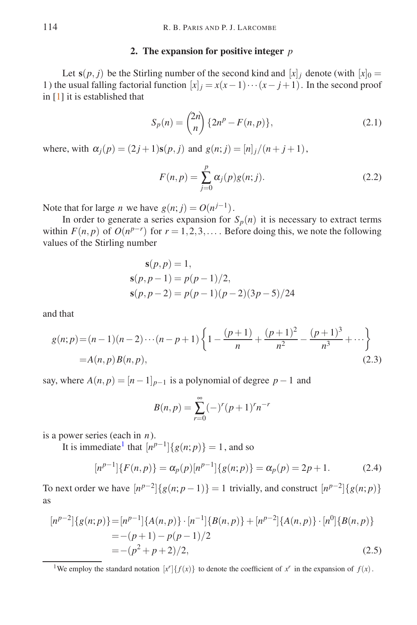## **2. The expansion for positive integer** *p*

<span id="page-1-3"></span>Let  $s(p, j)$  be the Stirling number of the second kind and  $[x]_j$  denote (with  $[x]_0 =$ 1) the usual falling factorial function  $[x]_i = x(x-1)\cdots(x-j+1)$ . In the second proof in [\[1\]](#page-10-0) it is established that

$$
S_p(n) = \binom{2n}{n} \{2n^p - F(n, p)\},\tag{2.1}
$$

where, with  $\alpha_j(p) = (2j+1)\mathbf{s}(p, j)$  and  $g(n; j) = [n]_j/(n+j+1)$ ,

$$
F(n,p) = \sum_{j=0}^{p} \alpha_j(p)g(n;j).
$$
 (2.2)

Note that for large *n* we have  $g(n; j) = O(n^{j-1})$ .

In order to generate a series expansion for  $S_p(n)$  it is necessary to extract terms within  $F(n, p)$  of  $O(n^{p-r})$  for  $r = 1, 2, 3, \ldots$ . Before doing this, we note the following values of the Stirling number

$$
s(p, p) = 1,
$$
  
\n
$$
s(p, p - 1) = p(p - 1)/2,
$$
  
\n
$$
s(p, p - 2) = p(p - 1)(p - 2)(3p - 5)/24
$$

and that

$$
g(n; p) = (n-1)(n-2)\cdots(n-p+1)\left\{1 - \frac{(p+1)}{n} + \frac{(p+1)^2}{n^2} - \frac{(p+1)^3}{n^3} + \cdots\right\}
$$
  
=  $A(n, p)B(n, p)$ , (2.3)

say, where  $A(n, p) = [n-1]_{p-1}$  is a polynomial of degree  $p-1$  and

$$
B(n, p) = \sum_{r=0}^{\infty} (-)^r (p+1)^r n^{-r}
$$

<span id="page-1-2"></span>is a power series (each in *n*).

It is immediate<sup>[1](#page-1-0)</sup> that  $[n^{p-1}]\{g(n; p)\} = 1$ , and so

$$
[n^{p-1}]\{F(n,p)\} = \alpha_p(p)[n^{p-1}]\{g(n;p)\} = \alpha_p(p) = 2p + 1.
$$
 (2.4)

To next order we have  $[n^{p-2}]\{g(n;p-1)\} = 1$  trivially, and construct  $[n^{p-2}]\{g(n;p)\}$ as

<span id="page-1-1"></span>
$$
[n^{p-2}]\{g(n;p)\} = [n^{p-1}]\{A(n,p)\} \cdot [n^{-1}]\{B(n,p)\} + [n^{p-2}]\{A(n,p)\} \cdot [n^0]\{B(n,p)\}
$$
  
= -(p+1) - p(p-1)/2  
= -(p<sup>2</sup> + p + 2)/2, (2.5)

<span id="page-1-0"></span><sup>1</sup>We employ the standard notation  $[x']\{f(x)\}\$  to denote the coefficient of  $x^r$  in the expansion of  $f(x)$ .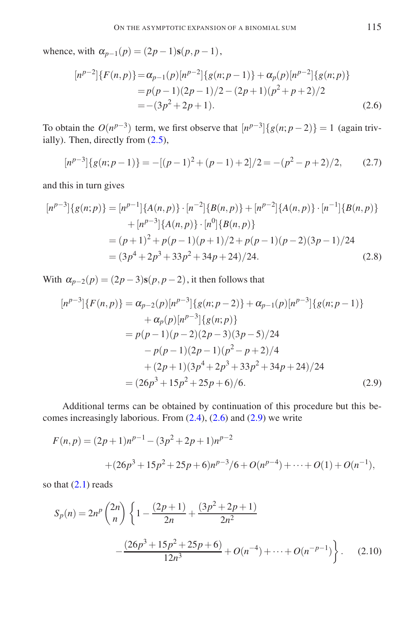<span id="page-2-0"></span>whence, with  $\alpha_{p-1}(p) = (2p-1)\mathbf{s}(p, p-1)$ ,

$$
[n^{p-2}] \{ F(n,p) \} = \alpha_{p-1}(p) [n^{p-2}] \{ g(n;p-1) \} + \alpha_p(p) [n^{p-2}] \{ g(n;p) \}
$$
  
=  $p(p-1)(2p-1)/2 - (2p+1)(p^2 + p + 2)/2$   
=  $-(3p^2 + 2p + 1).$  (2.6)

To obtain the  $O(n^{p-3})$  term, we first observe that  $[n^{p-3}]\{g(n;p-2)\}=1$  (again trivially). Then, directly from [\(2.5\)](#page-1-1),

$$
[n^{p-3}]\{g(n;p-1)\} = -[(p-1)^2 + (p-1) + 2]/2 = -(p^2 - p + 2)/2, \qquad (2.7)
$$

and this in turn gives

$$
[n^{p-3}]\{g(n;p)\} = [n^{p-1}]\{A(n,p)\} \cdot [n^{-2}]\{B(n,p)\} + [n^{p-2}]\{A(n,p)\} \cdot [n^{-1}]\{B(n,p)\} + [n^{p-3}]\{A(n,p)\} \cdot [n^0]\{B(n,p)\}
$$

$$
= (p+1)^2 + p(p-1)(p+1)/2 + p(p-1)(p-2)(3p-1)/24
$$

$$
= (3p^4 + 2p^3 + 33p^2 + 34p + 24)/24. \tag{2.8}
$$

With  $\alpha_{p-2}(p) = (2p-3)\mathbf{s}(p, p-2)$ , it then follows that

<span id="page-2-1"></span>
$$
[n^{p-3}] \{ F(n,p) \} = \alpha_{p-2}(p) [n^{p-3}] \{ g(n;p-2) \} + \alpha_{p-1}(p) [n^{p-3}] \{ g(n;p-1) \}
$$
  
+  $\alpha_p(p) [n^{p-3}] \{ g(n;p) \}$   
=  $p(p-1)(p-2)(2p-3)(3p-5)/24$   
-  $p(p-1)(2p-1)(p^2-p+2)/4$   
+  $(2p+1)(3p^4+2p^3+33p^2+34p+24)/24$   
=  $(26p^3+15p^2+25p+6)/6.$  (2.9)

Additional terms can be obtained by continuation of this procedure but this becomes increasingly laborious. From [\(2.4\)](#page-1-2), [\(2.6\)](#page-2-0) and [\(2.9\)](#page-2-1) we write

$$
F(n,p) = (2p+1)n^{p-1} - (3p^2 + 2p + 1)n^{p-2}
$$
  
+  $(26p^3 + 15p^2 + 25p + 6)n^{p-3}/6 + O(n^{p-4}) + \dots + O(1) + O(n^{-1}),$ 

so that  $(2.1)$  reads

<span id="page-2-2"></span>
$$
S_p(n) = 2n^p {2n \choose n} \left\{ 1 - \frac{(2p+1)}{2n} + \frac{(3p^2 + 2p + 1)}{2n^2} - \frac{(26p^3 + 15p^2 + 25p + 6)}{12n^3} + O(n^{-4}) + \dots + O(n^{-p-1}) \right\}.
$$
 (2.10)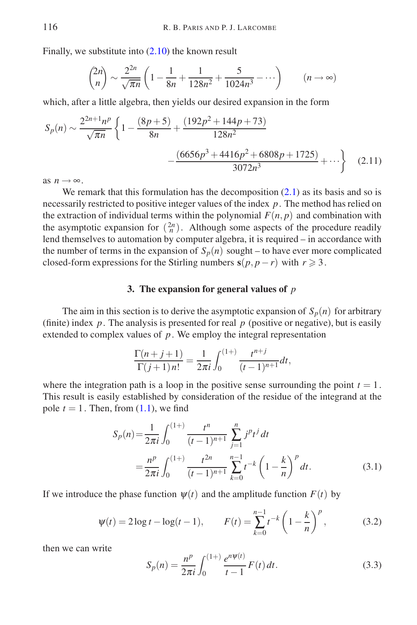Finally, we substitute into [\(2.10\)](#page-2-2) the known result

$$
{2n \choose n} \sim \frac{2^{2n}}{\sqrt{\pi n}} \left( 1 - \frac{1}{8n} + \frac{1}{128n^2} + \frac{5}{1024n^3} - \cdots \right) \qquad (n \to \infty)
$$

which, after a little algebra, then yields our desired expansion in the form

$$
S_p(n) \sim \frac{2^{2n+1}n^p}{\sqrt{\pi n}} \left\{ 1 - \frac{(8p+5)}{8n} + \frac{(192p^2 + 144p + 73)}{128n^2} - \frac{(6656p^3 + 4416p^2 + 6808p + 1725)}{3072n^3} + \cdots \right\}
$$
(2.11)

as  $n \rightarrow \infty$ .

We remark that this formulation has the decomposition  $(2.1)$  as its basis and so is necessarily restricted to positive integer values of the index *p*. The method has relied on the extraction of individual terms within the polynomial  $F(n, p)$  and combination with the asymptotic expansion for  $\binom{2n}{n}$ . Although some aspects of the procedure readily lend themselves to automation by computer algebra, it is required – in accordance with the number of terms in the expansion of  $S_p(n)$  sought – to have ever more complicated closed-form expressions for the Stirling numbers  $s(p, p - r)$  with  $r \geq 3$ .

## **3. The expansion for general values of** *p*

The aim in this section is to derive the asymptotic expansion of  $S_p(n)$  for arbitrary (finite) index  $p$ . The analysis is presented for real  $p$  (positive or negative), but is easily extended to complex values of *p*. We employ the integral representation

$$
\frac{\Gamma(n+j+1)}{\Gamma(j+1)n!} = \frac{1}{2\pi i} \int_0^{(1+)} \frac{t^{n+j}}{(t-1)^{n+1}} dt,
$$

<span id="page-3-1"></span>where the integration path is a loop in the positive sense surrounding the point  $t = 1$ . This result is easily established by consideration of the residue of the integrand at the pole  $t = 1$ . Then, from  $(1.1)$ , we find

$$
S_p(n) = \frac{1}{2\pi i} \int_0^{(1+)} \frac{t^n}{(t-1)^{n+1}} \sum_{j=1}^n j^p t^j dt
$$
  
= 
$$
\frac{n^p}{2\pi i} \int_0^{(1+)} \frac{t^{2n}}{(t-1)^{n+1}} \sum_{k=0}^{n-1} t^{-k} \left(1 - \frac{k}{n}\right)^p dt.
$$
 (3.1)

<span id="page-3-2"></span>If we introduce the phase function  $\psi(t)$  and the amplitude function  $F(t)$  by

$$
\Psi(t) = 2\log t - \log(t - 1), \qquad F(t) = \sum_{k=0}^{n-1} t^{-k} \left(1 - \frac{k}{n}\right)^p, \tag{3.2}
$$

<span id="page-3-0"></span>then we can write

$$
S_p(n) = \frac{n^p}{2\pi i} \int_0^{(1+)} \frac{e^{n\psi(t)}}{t-1} F(t) dt.
$$
 (3.3)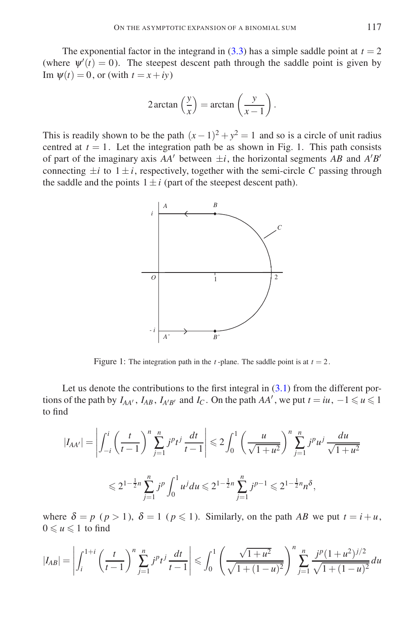The exponential factor in the integrand in  $(3.3)$  has a simple saddle point at  $t = 2$ (where  $\psi'(t) = 0$ ). The steepest descent path through the saddle point is given by Im  $\Psi(t) = 0$ , or (with  $t = x + iy$ )

$$
2\arctan\left(\frac{y}{x}\right) = \arctan\left(\frac{y}{x-1}\right).
$$

This is readily shown to be the path  $(x-1)^2 + y^2 = 1$  and so is a circle of unit radius centred at  $t = 1$ . Let the integration path be as shown in Fig. 1. This path consists of part of the imaginary axis  $AA'$  between  $\pm i$ , the horizontal segments  $AB$  and  $A'B'$ connecting  $\pm i$  to  $1 \pm i$ , respectively, together with the semi-circle C passing through the saddle and the points  $1 \pm i$  (part of the steepest descent path).



Figure 1: The integration path in the *t*-plane. The saddle point is at  $t = 2$ .

Let us denote the contributions to the first integral in  $(3.1)$  from the different portions of the path by  $I_{AA'}$ ,  $I_{AB}$ ,  $I_{A'B'}$  and  $I_C$ . On the path  $AA'$ , we put  $t = iu$ ,  $-1 \le u \le 1$ to find

$$
|I_{AA'}| = \left| \int_{-i}^{i} \left( \frac{t}{t-1} \right)^n \sum_{j=1}^{n} j^p t^j \frac{dt}{t-1} \right| \leq 2 \int_{0}^{1} \left( \frac{u}{\sqrt{1+u^2}} \right)^n \sum_{j=1}^{n} j^p u^j \frac{du}{\sqrt{1+u^2}}
$$
  

$$
\leq 2^{1-\frac{1}{2}n} \sum_{j=1}^{n} j^p \int_{0}^{1} u^j du \leq 2^{1-\frac{1}{2}n} \sum_{j=1}^{n} j^{p-1} \leq 2^{1-\frac{1}{2}n} n^{\delta},
$$

where  $\delta = p$  ( $p > 1$ ),  $\delta = 1$  ( $p \le 1$ ). Similarly, on the path *AB* we put  $t = i + u$ ,  $0 \leq u \leq 1$  to find

$$
|I_{AB}| = \left| \int_{i}^{1+i} \left( \frac{t}{t-1} \right)^n \sum_{j=1}^n j^p t^j \frac{dt}{t-1} \right| \leq \int_0^1 \left( \frac{\sqrt{1+u^2}}{\sqrt{1+(1-u)^2}} \right)^n \sum_{j=1}^n \frac{j^p (1+u^2)^{j/2}}{\sqrt{1+(1-u)^2}} du
$$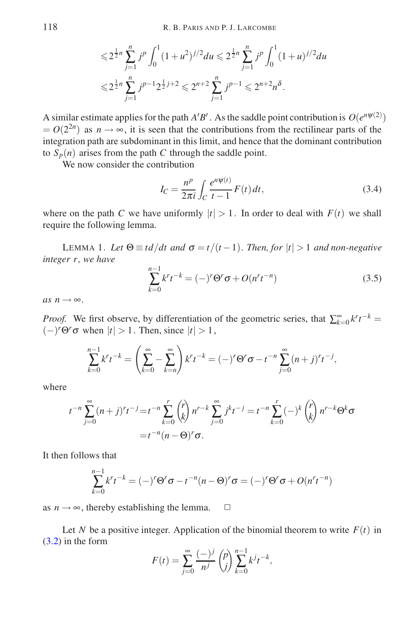$$
\leq 2^{\frac{1}{2}n} \sum_{j=1}^{n} j^{p} \int_{0}^{1} (1+u^{2})^{j/2} du \leq 2^{\frac{1}{2}n} \sum_{j=1}^{n} j^{p} \int_{0}^{1} (1+u)^{j/2} du
$$
  

$$
\leq 2^{\frac{1}{2}n} \sum_{j=1}^{n} j^{p-1} 2^{\frac{1}{2}j+2} \leq 2^{n+2} \sum_{j=1}^{n} j^{p-1} \leq 2^{n+2} n^{\delta}.
$$

A similar estimate applies for the path  $A'B'$ . As the saddle point contribution is  $O(e^{n\psi(2)})$  $= O(2^{2n})$  as  $n \to \infty$ , it is seen that the contributions from the rectilinear parts of the integration path are subdominant in this limit, and hence that the dominant contribution to  $S_p(n)$  arises from the path *C* through the saddle point.

<span id="page-5-1"></span>We now consider the contribution

$$
I_C = \frac{n^p}{2\pi i} \int_C \frac{e^{n\psi(t)}}{t - 1} F(t) dt,
$$
\n(3.4)

where on the path *C* we have uniformly  $|t| > 1$ . In order to deal with  $F(t)$  we shall require the following lemma.

<span id="page-5-0"></span>LEMMA 1. Let  $\Theta \equiv td/dt$  and  $\sigma = t/(t-1)$ . Then, for  $|t| > 1$  and non-negative *integer r, we have*

$$
\sum_{k=0}^{n-1} k^{r} t^{-k} = (-)^{r} \Theta^{r} \sigma + O(n^{r} t^{-n})
$$
\n(3.5)

 $as n \rightarrow \infty$ .

*Proof.* We first observe, by differentiation of the geometric series, that  $\sum_{k=0}^{\infty} k^r t^{-k} =$  $(-)$ <sup>*r*</sup> $\Theta$ <sup>*r*</sup> $\sigma$  when  $|t| > 1$ . Then, since  $|t| > 1$ ,

$$
\sum_{k=0}^{n-1} k^{r} t^{-k} = \left(\sum_{k=0}^{\infty} - \sum_{k=n}^{\infty}\right) k^{r} t^{-k} = (-)^{r} \Theta^{r} \sigma - t^{-n} \sum_{j=0}^{\infty} (n+j)^{r} t^{-j},
$$

where

$$
t^{-n} \sum_{j=0}^{\infty} (n+j)^r t^{-j} = t^{-n} \sum_{k=0}^r {r \choose k} n^{r-k} \sum_{j=0}^{\infty} j^k t^{-j} = t^{-n} \sum_{k=0}^r (-)^k {r \choose k} n^{r-k} \Theta^k \sigma
$$
  
=  $t^{-n} (n - \Theta)^r \sigma$ .

It then follows that

$$
\sum_{k=0}^{n-1} k^r t^{-k} = (-)^r \Theta^r \sigma - t^{-n} (n - \Theta)^r \sigma = (-)^r \Theta^r \sigma + O(n^r t^{-n})
$$

as  $n \rightarrow \infty$ , thereby establishing the lemma.  $\Box$ 

Let *N* be a positive integer. Application of the binomial theorem to write  $F(t)$  in [\(3.2\)](#page-3-2) in the form

$$
F(t) = \sum_{j=0}^{\infty} \frac{(-)^j}{n^j} {p \choose j} \sum_{k=0}^{n-1} k^j t^{-k},
$$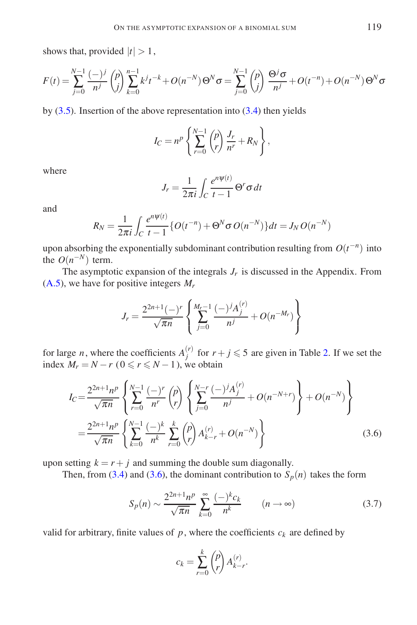shows that, provided  $|t| > 1$ ,

$$
F(t) = \sum_{j=0}^{N-1} \frac{(-)^j}{n^j} {p \choose j} \sum_{k=0}^{n-1} k^j t^{-k} + O(n^{-N}) \Theta^N \sigma = \sum_{j=0}^{N-1} {p \choose j} \frac{\Theta^j \sigma}{n^j} + O(t^{-n}) + O(n^{-N}) \Theta^N \sigma
$$

by  $(3.5)$ . Insertion of the above representation into  $(3.4)$  then yields

$$
I_C = n^p \left\{ \sum_{r=0}^{N-1} {p \choose r} \frac{J_r}{n^r} + R_N \right\},\,
$$

where

$$
J_r = \frac{1}{2\pi i} \int_C \frac{e^{n\psi(t)}}{t-1} \, \Theta^r \sigma \, dt
$$

and

$$
R_N = \frac{1}{2\pi i} \int_C \frac{e^{n\psi(t)}}{t-1} \{ O(t^{-n}) + \Theta^N \sigma O(n^{-N}) \} dt = J_N O(n^{-N})
$$

upon absorbing the exponentially subdominant contribution resulting from  $O(t^{-n})$  into the  $O(n^{-N})$  term.

The asymptotic expansion of the integrals  $J_r$  is discussed in the Appendix. From [\(A.5\)](#page-9-0), we have for positive integers *M<sup>r</sup>*

$$
J_r = \frac{2^{2n+1}(-)^r}{\sqrt{\pi n}} \left\{ \sum_{j=0}^{M_r-1} \frac{(-)^j A_j^{(r)}}{n^j} + O(n^{-M_r}) \right\}
$$

<span id="page-6-0"></span>for large *n*, where the coefficients  $A_i^{(r)}$  $j_j^{(r)}$  for  $r + j \leq 5$  are given in Table [2.](#page-10-3) If we set the index  $M_r = N - r$  ( $0 \le r \le N - 1$ ), we obtain

$$
I_C = \frac{2^{2n+1}n^p}{\sqrt{\pi n}} \left\{ \sum_{r=0}^{N-1} \frac{(-)^r}{n^r} {p \choose r} \left\{ \sum_{j=0}^{N-r} \frac{(-)^j A_j^{(r)}}{n^j} + O(n^{-N+r}) \right\} + O(n^{-N}) \right\}
$$
  
= 
$$
\frac{2^{2n+1}n^p}{\sqrt{\pi n}} \left\{ \sum_{k=0}^{N-1} \frac{(-)^k}{n^k} \sum_{r=0}^k {p \choose r} A_{k-r}^{(r)} + O(n^{-N}) \right\}
$$
(3.6)

upon setting  $k = r + j$  and summing the double sum diagonally.

<span id="page-6-1"></span>Then, from [\(3.4\)](#page-5-1) and [\(3.6\)](#page-6-0), the dominant contribution to  $S_p(n)$  takes the form

$$
S_p(n) \sim \frac{2^{2n+1}n^p}{\sqrt{\pi n}} \sum_{k=0}^{\infty} \frac{(-)^k c_k}{n^k} \qquad (n \to \infty)
$$
 (3.7)

valid for arbitrary, finite values of  $p$ , where the coefficients  $c_k$  are defined by

$$
c_k = \sum_{r=0}^k {p \choose r} A_{k-r}^{(r)}.
$$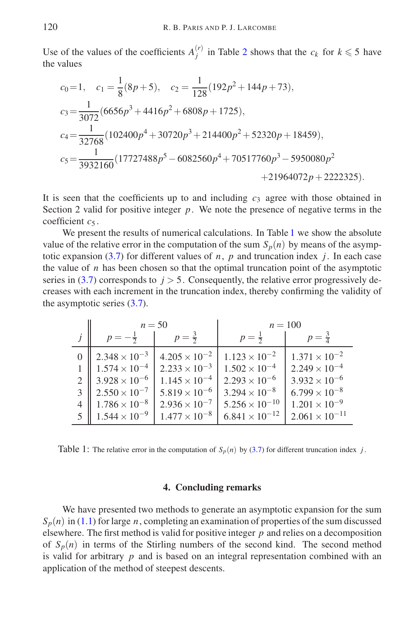Use of the values of the coefficients  $A_i^{(r)}$  $j_j^{(r)}$  in Table [2](#page-10-3) shows that the  $c_k$  for  $k \leq 5$  have the values

$$
c_0 = 1, \quad c_1 = \frac{1}{8}(8p+5), \quad c_2 = \frac{1}{128}(192p^2 + 144p + 73),
$$
  
\n
$$
c_3 = \frac{1}{3072}(6656p^3 + 4416p^2 + 6808p + 1725),
$$
  
\n
$$
c_4 = \frac{1}{32768}(102400p^4 + 30720p^3 + 214400p^2 + 52320p + 18459),
$$
  
\n
$$
c_5 = \frac{1}{3932160}(17727488p^5 - 6082560p^4 + 70517760p^3 - 5950080p^2 + 21964072p + 2222325).
$$

It is seen that the coefficients up to and including  $c_3$  agree with those obtained in Section 2 valid for positive integer  $p$ . We note the presence of negative terms in the coefficient  $c_5$ .

We present the results of numerical calculations. In Table [1](#page-7-0) we show the absolute value of the relative error in the computation of the sum  $S_p(n)$  by means of the asymptotic expansion  $(3.7)$  for different values of *n*, *p* and truncation index *j*. In each case the value of  $n$  has been chosen so that the optimal truncation point of the asymptotic series in  $(3.7)$  corresponds to  $j > 5$ . Consequently, the relative error progressively decreases with each increment in the truncation index, thereby confirming the validity of the asymptotic series [\(3.7\)](#page-6-1).

|                | $n = 50$               |                        | $n = 100$               |                         |  |
|----------------|------------------------|------------------------|-------------------------|-------------------------|--|
|                | $p = -\frac{1}{2}$     | $p = \frac{3}{2}$      | $p = \frac{1}{2}$       | $p = \frac{3}{4}$       |  |
|                | $2.348 \times 10^{-3}$ | $4.205 \times 10^{-2}$ | $1.123 \times 10^{-2}$  | $1.371 \times 10^{-2}$  |  |
|                | $1.574 \times 10^{-4}$ | $2.233 \times 10^{-3}$ | $1.502 \times 10^{-4}$  | $2.249 \times 10^{-4}$  |  |
|                | $3.928 \times 10^{-6}$ | $1.145 \times 10^{-4}$ | $2.293 \times 10^{-6}$  | $3.932 \times 10^{-6}$  |  |
|                | $2.550 \times 10^{-7}$ | $5.819 \times 10^{-6}$ | $3.294 \times 10^{-8}$  | $6.799 \times 10^{-8}$  |  |
| $\overline{4}$ | $1.786 \times 10^{-8}$ | $2.936 \times 10^{-7}$ | $5.256 \times 10^{-10}$ | $1.201 \times 10^{-9}$  |  |
| 5              | $1.544 \times 10^{-9}$ | $1.477 \times 10^{-8}$ | $6.841 \times 10^{-12}$ | $2.061 \times 10^{-11}$ |  |

<span id="page-7-0"></span>Table 1: The relative error in the computation of  $S_p(n)$  by [\(3.7\)](#page-6-1) for different truncation index *j*.

#### **4. Concluding remarks**

We have presented two methods to generate an asymptotic expansion for the sum  $S_p(n)$  in [\(1.1\)](#page-0-0) for large *n*, completing an examination of properties of the sum discussed elsewhere. The first method is valid for positive integer *p* and relies on a decomposition of  $S_p(n)$  in terms of the Stirling numbers of the second kind. The second method is valid for arbitrary *p* and is based on an integral representation combined with an application of the method of steepest descents.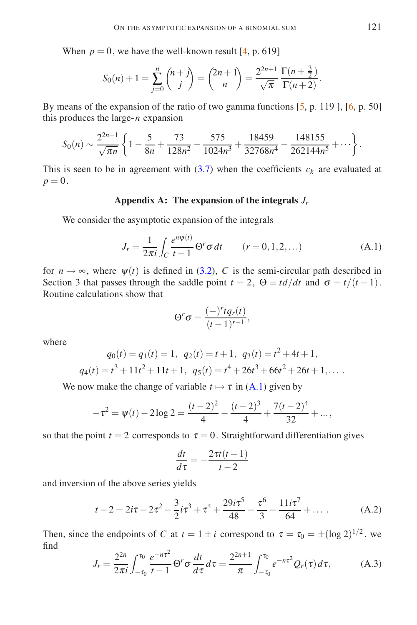When  $p = 0$ , we have the well-known result  $[4, p, 619]$ 

$$
S_0(n) + 1 = \sum_{j=0}^n \binom{n+j}{j} = \binom{2n+1}{n} = \frac{2^{2n+1}}{\sqrt{\pi}} \frac{\Gamma(n+\frac{3}{2})}{\Gamma(n+2)}.
$$

By means of the expansion of the ratio of two gamma functions [\[5,](#page-10-5) p. 119], [\[6,](#page-10-6) p. 50] this produces the large-*n* expansion

$$
S_0(n) \sim \frac{2^{2n+1}}{\sqrt{\pi n}} \left\{ 1 - \frac{5}{8n} + \frac{73}{128n^2} - \frac{575}{1024n^3} + \frac{18459}{32768n^4} - \frac{148155}{262144n^5} + \cdots \right\}.
$$

This is seen to be in agreement with  $(3.7)$  when the coefficients  $c_k$  are evaluated at  $p = 0$ .

## **Appendix A: The expansion of the integrals** *J<sup>r</sup>*

<span id="page-8-0"></span>We consider the asymptotic expansion of the integrals

$$
J_r = \frac{1}{2\pi i} \int_C \frac{e^{n\psi(t)}}{t-1} \Theta^r \sigma \, dt \qquad (r = 0, 1, 2, \ldots)
$$
 (A.1)

for  $n \to \infty$ , where  $\psi(t)$  is defined in [\(3.2\)](#page-3-2), *C* is the semi-circular path described in Section 3 that passes through the saddle point  $t = 2$ ,  $\Theta \equiv td/dt$  and  $\sigma = t/(t-1)$ . Routine calculations show that

$$
\Theta^r \sigma = \frac{(-)^r t q_r(t)}{(t-1)^{r+1}},
$$

where

$$
q_0(t) = q_1(t) = 1, \ q_2(t) = t + 1, \ q_3(t) = t^2 + 4t + 1,
$$
  

$$
q_4(t) = t^3 + 11t^2 + 11t + 1, \ q_5(t) = t^4 + 26t^3 + 66t^2 + 26t + 1,...
$$

We now make the change of variable  $t \mapsto \tau$  in [\(A.1\)](#page-8-0) given by

$$
-\tau^2 = \psi(t) - 2\log 2 = \frac{(t-2)^2}{4} - \frac{(t-2)^3}{4} + \frac{7(t-2)^4}{32} + \dots,
$$

so that the point  $t = 2$  corresponds to  $\tau = 0$ . Straightforward differentiation gives

$$
\frac{dt}{d\tau} = -\frac{2\tau t(t-1)}{t-2}
$$

<span id="page-8-1"></span>and inversion of the above series yields

$$
t - 2 = 2i\tau - 2\tau^2 - \frac{3}{2}i\tau^3 + \tau^4 + \frac{29i\tau^5}{48} - \frac{\tau^6}{3} - \frac{11i\tau^7}{64} + \dots
$$
 (A.2)

<span id="page-8-2"></span>Then, since the endpoints of *C* at  $t = 1 \pm i$  correspond to  $\tau = \tau_0 = \pm (\log 2)^{1/2}$ , we find

$$
J_r = \frac{2^{2n}}{2\pi i} \int_{-\tau_0}^{\tau_0} \frac{e^{-n\tau^2}}{t-1} \Theta^r \sigma \frac{dt}{d\tau} d\tau = \frac{2^{2n+1}}{\pi} \int_{-\tau_0}^{\tau_0} e^{-n\tau^2} Q_r(\tau) d\tau,
$$
 (A.3)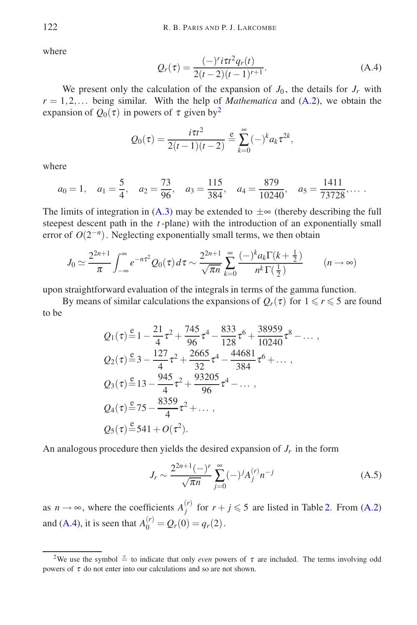<span id="page-9-2"></span>where

$$
Q_r(\tau) = \frac{(-)^r i \tau t^2 q_r(t)}{2(t-2)(t-1)^{r+1}}.
$$
\n(A.4)

We present only the calculation of the expansion of  $J_0$ , the details for  $J_r$  with  $r = 1, 2, \ldots$  being similar. With the help of *Mathematica* and  $(A.2)$ , we obtain the expansion of  $Q_0(\tau)$  in powers of  $\tau$  given by<sup>[2](#page-9-1)</sup>

$$
Q_0(\tau) = \frac{i\tau t^2}{2(t-1)(t-2)} \stackrel{e}{=} \sum_{k=0}^{\infty} (-)^k a_k \tau^{2k},
$$

where

$$
a_0 = 1
$$
,  $a_1 = \frac{5}{4}$ ,  $a_2 = \frac{73}{96}$ ,  $a_3 = \frac{115}{384}$ ,  $a_4 = \frac{879}{10240}$ ,  $a_5 = \frac{1411}{73728}$ ,...

The limits of integration in  $(A.3)$  may be extended to  $\pm \infty$  (thereby describing the full steepest descent path in the *t* -plane) with the introduction of an exponentially small error of  $O(2^{-n})$ . Neglecting exponentially small terms, we then obtain

$$
J_0 \simeq \frac{2^{2n+1}}{\pi} \int_{-\infty}^{\infty} e^{-n\tau^2} Q_0(\tau) d\tau \sim \frac{2^{2n+1}}{\sqrt{\pi n}} \sum_{k=0}^{\infty} \frac{(-)^k a_k \Gamma(k+\frac{1}{2})}{n^k \Gamma(\frac{1}{2})} \qquad (n \to \infty)
$$

upon straightforward evaluation of the integrals in terms of the gamma function.

By means of similar calculations the expansions of  $Q_r(\tau)$  for  $1 \le r \le 5$  are found to be

$$
Q_1(\tau) = 1 - \frac{21}{4}\tau^2 + \frac{745}{96}\tau^4 - \frac{833}{128}\tau^6 + \frac{38959}{10240}\tau^8 - \dots,
$$
  
\n
$$
Q_2(\tau) = 3 - \frac{127}{4}\tau^2 + \frac{2665}{32}\tau^4 - \frac{44681}{384}\tau^6 + \dots,
$$
  
\n
$$
Q_3(\tau) = 13 - \frac{945}{4}\tau^2 + \frac{93205}{96}\tau^4 - \dots,
$$
  
\n
$$
Q_4(\tau) = 75 - \frac{8359}{4}\tau^2 + \dots,
$$
  
\n
$$
Q_5(\tau) = 541 + O(\tau^2).
$$

<span id="page-9-0"></span>An analogous procedure then yields the desired expansion of *J<sup>r</sup>* in the form

$$
J_r \sim \frac{2^{2n+1}(-)^r}{\sqrt{\pi n}} \sum_{j=0}^{\infty} (-)^j A_j^{(r)} n^{-j}
$$
 (A.5)

as  $n \to \infty$ , where the coefficients  $A_j^{(r)}$ *f*<sup>(*r*</sup>) for  $r + j \le 5$  are listed in Table [2.](#page-10-3) From [\(A.2\)](#page-8-1) and [\(A.4\)](#page-9-2), it is seen that  $A_0^{(r)} = Q_r(0) = q_r(2)$ .

<span id="page-9-1"></span><sup>&</sup>lt;sup>2</sup>We use the symbol  $\stackrel{e}{=}$  to indicate that only *even* powers of  $\tau$  are included. The terms involving odd powers of  $\tau$  do not enter into our calculations and so are not shown.